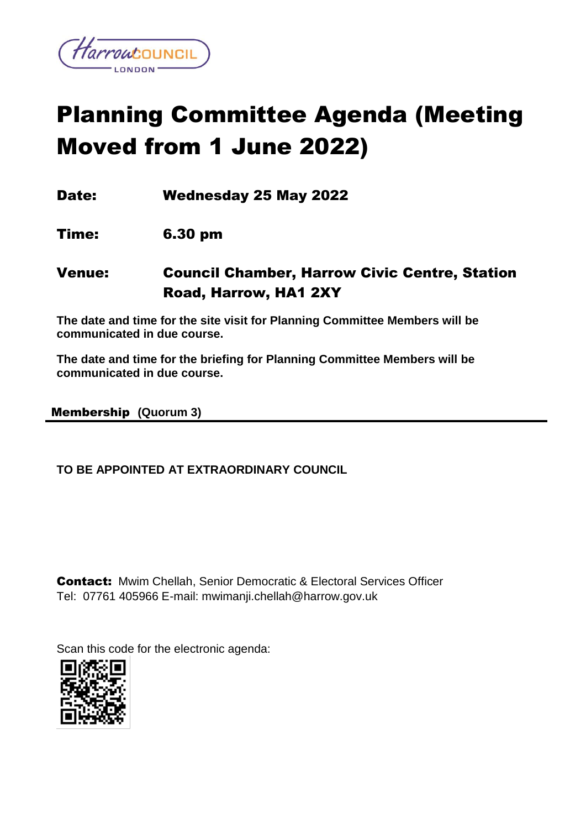

# Planning Committee Agenda (Meeting Moved from 1 June 2022)

Date: Wednesday 25 May 2022

Time: 6.30 pm

Venue: Council Chamber, Harrow Civic Centre, Station Road, Harrow, HA1 2XY

**The date and time for the site visit for Planning Committee Members will be communicated in due course.** 

**The date and time for the briefing for Planning Committee Members will be communicated in due course.** 

#### Membership **(Quorum 3)**

#### **TO BE APPOINTED AT EXTRAORDINARY COUNCIL**

Contact:Mwim Chellah, Senior Democratic & Electoral Services Officer Tel: 07761 405966 E-mail: mwimanji.chellah@harrow.gov.uk

Scan this code for the electronic agenda:

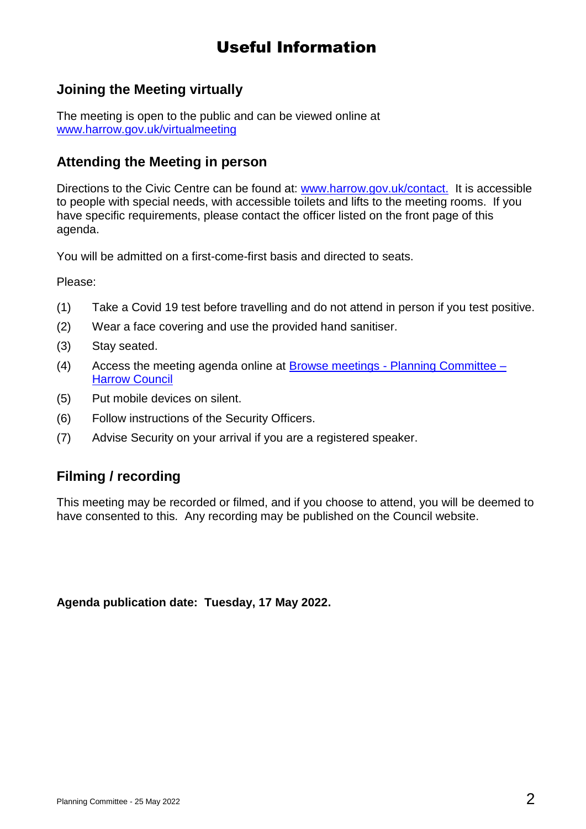# Useful Information

# **Joining the Meeting virtually**

The meeting is open to the public and can be viewed online at [www.harrow.gov.uk/virtualmeeting](http://www.harrow.gov.uk/virtualmeeting)

#### **Attending the Meeting in person**

Directions to the Civic Centre can be found at: [www.harrow.gov.uk/contact.](http://www.harrow.gov.uk/contact) It is accessible to people with special needs, with accessible toilets and lifts to the meeting rooms. If you have specific requirements, please contact the officer listed on the front page of this agenda.

You will be admitted on a first-come-first basis and directed to seats.

Please:

- (1) Take a Covid 19 test before travelling and do not attend in person if you test positive.
- (2) Wear a face covering and use the provided hand sanitiser.
- (3) Stay seated.
- (4) Access the meeting agenda online at Browse meetings [Planning Committee –](https://moderngov.harrow.gov.uk/ieListMeetings.aspx?CId=1001&Year=0) [Harrow Council](https://moderngov.harrow.gov.uk/ieListMeetings.aspx?CId=1001&Year=0)
- (5) Put mobile devices on silent.
- (6) Follow instructions of the Security Officers.
- (7) Advise Security on your arrival if you are a registered speaker.

### **Filming / recording**

This meeting may be recorded or filmed, and if you choose to attend, you will be deemed to have consented to this. Any recording may be published on the Council website.

**Agenda publication date: Tuesday, 17 May 2022.**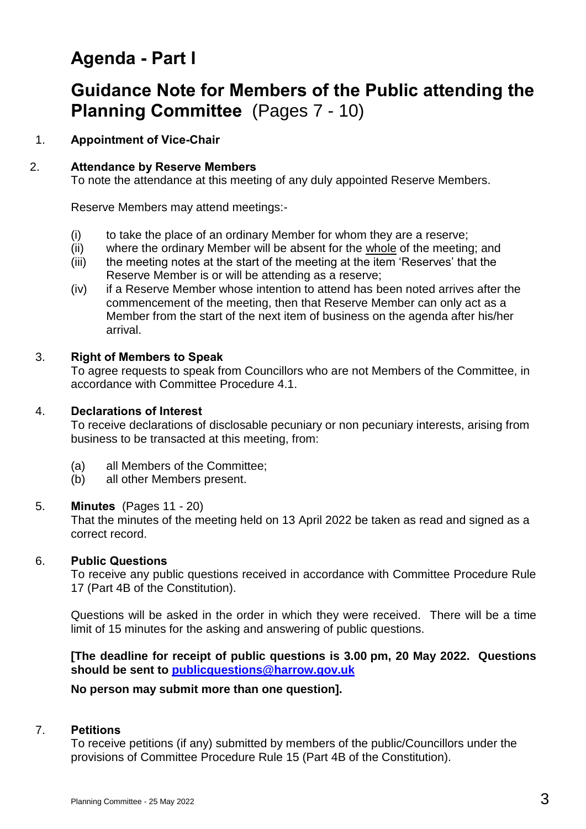# **Agenda - Part I**

# **Guidance Note for Members of the Public attending the Planning Committee** (Pages 7 - 10)

#### 1. **Appointment of Vice-Chair**

## 2. **Attendance by Reserve Members**

To note the attendance at this meeting of any duly appointed Reserve Members.

Reserve Members may attend meetings:-

- (i) to take the place of an ordinary Member for whom they are a reserve;
- (ii) where the ordinary Member will be absent for the whole of the meeting; and
- (iii) the meeting notes at the start of the meeting at the item 'Reserves' that the Reserve Member is or will be attending as a reserve;
- (iv) if a Reserve Member whose intention to attend has been noted arrives after the commencement of the meeting, then that Reserve Member can only act as a Member from the start of the next item of business on the agenda after his/her arrival.

## 3. **Right of Members to Speak**

To agree requests to speak from Councillors who are not Members of the Committee, in accordance with Committee Procedure 4.1.

### 4. **Declarations of Interest**

To receive declarations of disclosable pecuniary or non pecuniary interests, arising from business to be transacted at this meeting, from:

- (a) all Members of the Committee;
- (b) all other Members present.

### 5. **Minutes** (Pages 11 - 20)

That the minutes of the meeting held on 13 April 2022 be taken as read and signed as a correct record.

# 6. **Public Questions**

To receive any public questions received in accordance with Committee Procedure Rule 17 (Part 4B of the Constitution).

Questions will be asked in the order in which they were received. There will be a time limit of 15 minutes for the asking and answering of public questions.

**[The deadline for receipt of public questions is 3.00 pm, 20 May 2022. Questions should be sent to [publicquestions@harrow.gov.uk](mailto:publicquestions@harrow.gov.uk)** 

### **No person may submit more than one question].**

# 7. **Petitions**

To receive petitions (if any) submitted by members of the public/Councillors under the provisions of Committee Procedure Rule 15 (Part 4B of the Constitution).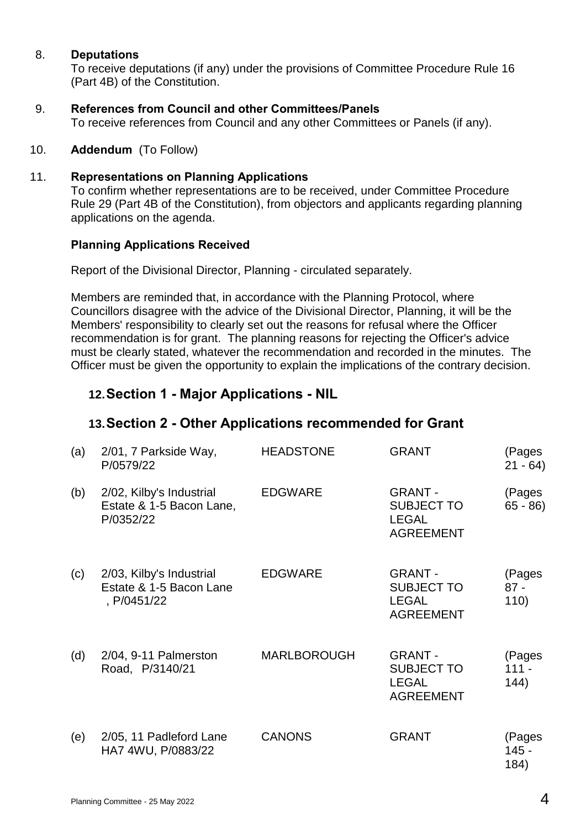#### 8. **Deputations**

To receive deputations (if any) under the provisions of Committee Procedure Rule 16 (Part 4B) of the Constitution.

#### 9. **References from Council and other Committees/Panels**

To receive references from Council and any other Committees or Panels (if any).

#### 10. **Addendum** (To Follow)

#### 11. **Representations on Planning Applications**

To confirm whether representations are to be received, under Committee Procedure Rule 29 (Part 4B of the Constitution), from objectors and applicants regarding planning applications on the agenda.

#### **Planning Applications Received**

Report of the Divisional Director, Planning - circulated separately.

Members are reminded that, in accordance with the Planning Protocol, where Councillors disagree with the advice of the Divisional Director, Planning, it will be the Members' responsibility to clearly set out the reasons for refusal where the Officer recommendation is for grant. The planning reasons for rejecting the Officer's advice must be clearly stated, whatever the recommendation and recorded in the minutes. The Officer must be given the opportunity to explain the implications of the contrary decision.

## **12.Section 1 - Major Applications - NIL**

### **13.Section 2 - Other Applications recommended for Grant**

| (a) | 2/01, 7 Parkside Way,<br>P/0579/22                                 | <b>HEADSTONE</b>   | <b>GRANT</b>                                                            | (Pages<br>$21 - 64$       |
|-----|--------------------------------------------------------------------|--------------------|-------------------------------------------------------------------------|---------------------------|
| (b) | 2/02, Kilby's Industrial<br>Estate & 1-5 Bacon Lane,<br>P/0352/22  | <b>EDGWARE</b>     | <b>GRANT-</b><br><b>SUBJECT TO</b><br><b>LEGAL</b><br><b>AGREEMENT</b>  | (Pages<br>$65 - 86$       |
| (c) | 2/03, Kilby's Industrial<br>Estate & 1-5 Bacon Lane<br>, P/0451/22 | <b>EDGWARE</b>     | <b>GRANT -</b><br><b>SUBJECT TO</b><br><b>LEGAL</b><br><b>AGREEMENT</b> | (Pages<br>$87 -$<br>110)  |
| (d) | 2/04, 9-11 Palmerston<br>Road, P/3140/21                           | <b>MARLBOROUGH</b> | <b>GRANT-</b><br><b>SUBJECT TO</b><br><b>LEGAL</b><br><b>AGREEMENT</b>  | (Pages<br>$111 -$<br>144) |
| (e) | 2/05, 11 Padleford Lane<br>HA7 4WU, P/0883/22                      | <b>CANONS</b>      | <b>GRANT</b>                                                            | (Pages<br>145 -<br>184)   |